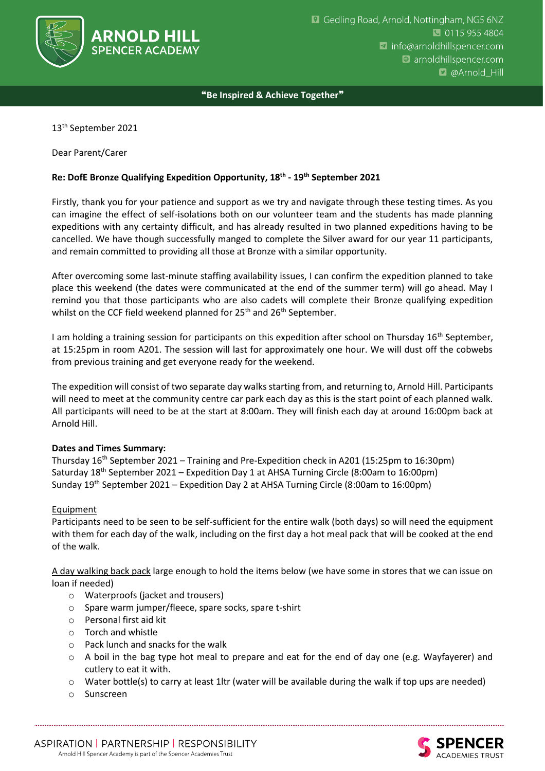

❝**Be Inspired & Achieve Together**❞

13th September 2021

Dear Parent/Carer

## **Re: DofE Bronze Qualifying Expedition Opportunity, 18th - 19th September 2021**

Firstly, thank you for your patience and support as we try and navigate through these testing times. As you can imagine the effect of self-isolations both on our volunteer team and the students has made planning expeditions with any certainty difficult, and has already resulted in two planned expeditions having to be cancelled. We have though successfully manged to complete the Silver award for our year 11 participants, and remain committed to providing all those at Bronze with a similar opportunity.

After overcoming some last-minute staffing availability issues, I can confirm the expedition planned to take place this weekend (the dates were communicated at the end of the summer term) will go ahead. May I remind you that those participants who are also cadets will complete their Bronze qualifying expedition whilst on the CCF field weekend planned for 25<sup>th</sup> and 26<sup>th</sup> September.

I am holding a training session for participants on this expedition after school on Thursday 16<sup>th</sup> September, at 15:25pm in room A201. The session will last for approximately one hour. We will dust off the cobwebs from previous training and get everyone ready for the weekend.

The expedition will consist of two separate day walks starting from, and returning to, Arnold Hill. Participants will need to meet at the community centre car park each day as this is the start point of each planned walk. All participants will need to be at the start at 8:00am. They will finish each day at around 16:00pm back at Arnold Hill.

## **Dates and Times Summary:**

Thursday 16<sup>th</sup> September 2021 – Training and Pre-Expedition check in A201 (15:25pm to 16:30pm) Saturday 18th September 2021 – Expedition Day 1 at AHSA Turning Circle (8:00am to 16:00pm) Sunday 19th September 2021 – Expedition Day 2 at AHSA Turning Circle (8:00am to 16:00pm)

## Equipment

Participants need to be seen to be self-sufficient for the entire walk (both days) so will need the equipment with them for each day of the walk, including on the first day a hot meal pack that will be cooked at the end of the walk.

A day walking back pack large enough to hold the items below (we have some in stores that we can issue on loan if needed)

- o Waterproofs (jacket and trousers)
- o Spare warm jumper/fleece, spare socks, spare t-shirt
- o Personal first aid kit
- o Torch and whistle
- o Pack lunch and snacks for the walk
- $\circ$  A boil in the bag type hot meal to prepare and eat for the end of day one (e.g. Wayfayerer) and cutlery to eat it with.
- $\circ$  Water bottle(s) to carry at least 1ltr (water will be available during the walk if top ups are needed)
- o Sunscreen

ASPIRATION | PARTNERSHIP | RESPONSIBILITY Arnold Hill Spencer Academy is part of the Spencer Academies Trust